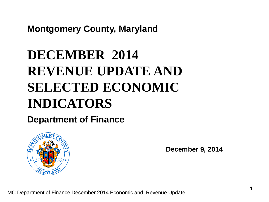**Montgomery County, Maryland**

# **DECEMBER 2014 REVENUE UPDATE AND SELECTED ECONOMIC INDICATORS**

#### **Department of Finance**



**December 9, 2014**

MC Department of Finance December 2014 Economic and Revenue Update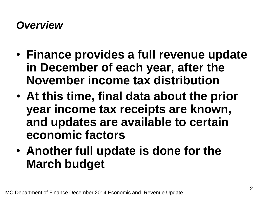#### *Overview*

- **Finance provides a full revenue update in December of each year, after the November income tax distribution**
- **At this time, final data about the prior year income tax receipts are known, and updates are available to certain economic factors**
- **Another full update is done for the March budget**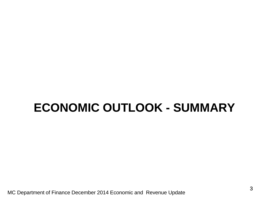# **ECONOMIC OUTLOOK - SUMMARY**

MC Department of Finance December 2014 Economic and Revenue Update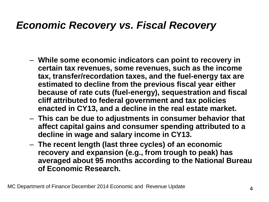### *Economic Recovery vs. Fiscal Recovery*

- **While some economic indicators can point to recovery in certain tax revenues, some revenues, such as the income tax, transfer/recordation taxes, and the fuel-energy tax are estimated to decline from the previous fiscal year either because of rate cuts (fuel-energy), sequestration and fiscal cliff attributed to federal government and tax policies enacted in CY13, and a decline in the real estate market.**
- **This can be due to adjustments in consumer behavior that affect capital gains and consumer spending attributed to a decline in wage and salary income in CY13.**
- **The recent length (last three cycles) of an economic recovery and expansion (e.g., from trough to peak) has averaged about 95 months according to the National Bureau of Economic Research.**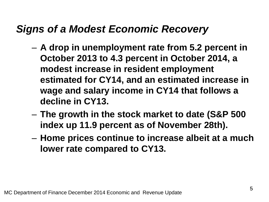#### *Signs of a Modest Economic Recovery*

- **A drop in unemployment rate from 5.2 percent in October 2013 to 4.3 percent in October 2014, a modest increase in resident employment estimated for CY14, and an estimated increase in wage and salary income in CY14 that follows a decline in CY13.**
- **The growth in the stock market to date (S&P 500 index up 11.9 percent as of November 28th).**
- **Home prices continue to increase albeit at a much lower rate compared to CY13.**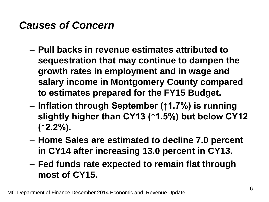#### *Causes of Concern*

- **Pull backs in revenue estimates attributed to sequestration that may continue to dampen the growth rates in employment and in wage and salary income in Montgomery County compared to estimates prepared for the FY15 Budget.**
- **Inflation through September (↑1.7%) is running slightly higher than CY13 (↑1.5%) but below CY12 (↑2.2%).**
- **Home Sales are estimated to decline 7.0 percent in CY14 after increasing 13.0 percent in CY13.**
- **Fed funds rate expected to remain flat through most of CY15.**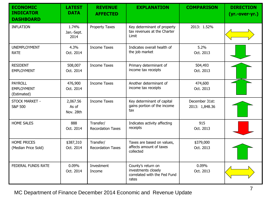| <b>ECONOMIC</b><br><b>INDICATOR</b><br><b>DASHBOARD</b> | <b>LATEST</b><br><b>DATA</b>   | <b>REVENUE</b><br><b>AFFECTED</b>     | <b>EXPLANATION</b>                                                                 | <b>COMPARISON</b>                | <b>DIRECTION</b><br>(yr.-over-yr.) |
|---------------------------------------------------------|--------------------------------|---------------------------------------|------------------------------------------------------------------------------------|----------------------------------|------------------------------------|
| <b>INFLATION</b>                                        | 1.74%<br>Jan.-Sept.<br>2014    | <b>Property Taxes</b>                 | Key determinant of property<br>tax revenues at the Charter<br>Limit                | 2013: 1.52%                      |                                    |
| <b>UNEMPLOYMENT</b><br><b>RATE</b>                      | 4.3%<br>Oct. 2014              | <b>Income Taxes</b>                   | Indicates overall health of<br>the job market                                      | 5.2%<br>Oct. 2013                |                                    |
| <b>RESIDENT</b><br><b>EMPLOYMENT</b>                    | 508,007<br>Oct. 2014           | <b>Income Taxes</b>                   | Primary determinant of<br>income tax receipts                                      | 504,493<br>Oct. 2013             |                                    |
| <b>PAYROLL</b><br><b>EMPLOYMENT</b><br>(Estimated)      | 476,900<br>Oct. 2014           | <b>Income Taxes</b>                   | Another determinant of<br>income tax receipts                                      | 474,600<br>Oct. 2013             |                                    |
| STOCK MARKET -<br><b>S&amp;P 500</b>                    | 2,067.56<br>As of<br>Nov. 28th | <b>Income Taxes</b>                   | Key determinant of capital<br>gains portion of the income<br>tax                   | December 31st:<br>2013: 1,848.36 |                                    |
| <b>HOME SALES</b>                                       | 888<br>Oct. 2014               | Transfer/<br><b>Recordation Taxes</b> | Indicates activity affecting<br>receipts                                           | 915<br>Oct. 2013                 |                                    |
| <b>HOME PRICES</b><br>(Median Price Sold)               | \$387,310<br>Oct. 2014         | Transfer/<br><b>Recordation Taxes</b> | Taxes are based on values,<br>affects amount of taxes<br>collected                 | \$379,000<br>Oct. 2013           |                                    |
| FEDERAL FUNDS RATE                                      | 0.09%<br>Oct. 2014             | Investment<br>Income                  | County's return on<br>investments closely<br>correlated with the Fed Fund<br>rates | 0.09%<br>Oct. 2013               |                                    |

MC Department of Finance December 2014 Economic and Revenue Update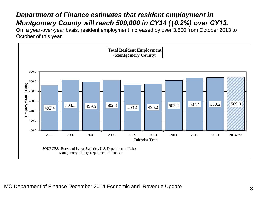#### *Department of Finance estimates that resident employment in Montgomery County will reach 509,000 in CY14 (↑0.2%) over CY13.*

On a year-over-year basis, resident employment increased by over 3,500 from October 2013 to October of this year.

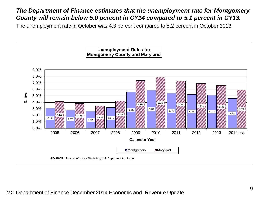#### *The Department of Finance estimates that the unemployment rate for Montgomery County will remain below 5.0 percent in CY14 compared to 5.1 percent in CY13.*

The unemployment rate in October was 4.3 percent compared to 5.2 percent in October 2013.

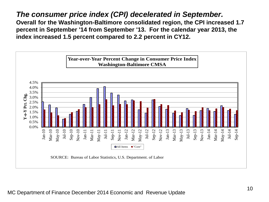*The consumer price index (CPI) decelerated in September.* **Overall for the Washington-Baltimore consolidated region, the CPI increased 1.7 percent in September '14 from September '13. For the calendar year 2013, the index increased 1.5 percent compared to 2.2 percent in CY12.**

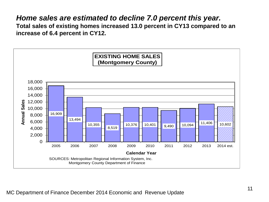#### *Home sales are estimated to decline 7.0 percent this year.*

**Total sales of existing homes increased 13.0 percent in CY13 compared to an increase of 6.4 percent in CY12.** 

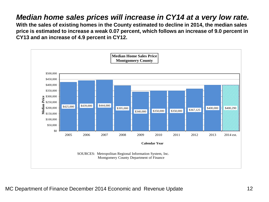#### *Median home sales prices will increase in CY14 at a very low rate.*

**With the sales of existing homes in the County estimated to decline in 2014, the median sales price is estimated to increase a weak 0.07 percent, which follows an increase of 9.0 percent in CY13 and an increase of 4.9 percent in CY12.**

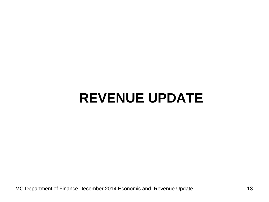# **REVENUE UPDATE**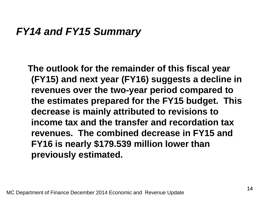#### *FY14 and FY15 Summary*

**The outlook for the remainder of this fiscal year (FY15) and next year (FY16) suggests a decline in revenues over the two-year period compared to the estimates prepared for the FY15 budget. This decrease is mainly attributed to revisions to income tax and the transfer and recordation tax revenues. The combined decrease in FY15 and FY16 is nearly \$179.539 million lower than previously estimated.**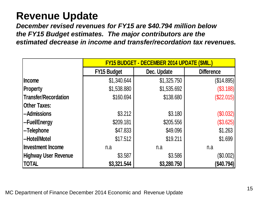### **Revenue Update**

*December revised revenues for FY15 are \$40.794 million below the FY15 Budget estimates. The major contributors are the estimated decrease in income and transfer/recordation tax revenues.*

|                             | <b>FY15 BUDGET - DECEMBER 2014 UPDATE (\$MIL.)</b> |             |                   |  |  |
|-----------------------------|----------------------------------------------------|-------------|-------------------|--|--|
|                             | <b>FY15 Budget</b>                                 | Dec. Update | <b>Difference</b> |  |  |
| Income                      | \$1,340.644                                        | \$1,325.750 | (\$14.895)        |  |  |
| <b>Property</b>             | \$1,538.880                                        | \$1,535.692 | (\$3.188)         |  |  |
| Transfer/Recordation        | \$160.694                                          | \$138.680   | (\$22.015)        |  |  |
| <b>Other Taxes:</b>         |                                                    |             |                   |  |  |
| --Admissions                | \$3.212                                            | \$3.180     | (\$0.032)         |  |  |
| --Fuel/Energy               | \$209.181                                          | \$205.556   | (\$3.625)         |  |  |
| --Telephone                 | \$47.833                                           | \$49.096    | \$1.263           |  |  |
| --Hotel/Motel               | \$17.512                                           | \$19.211    | \$1.699           |  |  |
| Investment Income           | n.a                                                | n.a         | n.a               |  |  |
| <b>Highway User Revenue</b> | \$3.587                                            | \$3.586     | $(\$0.002)$       |  |  |
| <b>TOTAL</b>                | \$3,321.544                                        | \$3,280.750 | (\$40.794)        |  |  |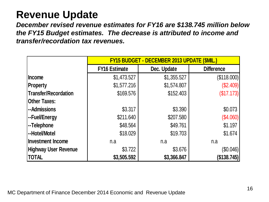## **Revenue Update**

*December revised revenue estimates for FY16 are \$138.745 million below the FY15 Budget estimates. The decrease is attributed to income and transfer/recordation tax revenues.*

|                             | <b>FY15 BUDGET - DECEMBER 2013 UPDATE (\$MIL.)</b> |             |                   |  |  |
|-----------------------------|----------------------------------------------------|-------------|-------------------|--|--|
|                             | <b>FY16 Estimate</b>                               | Dec. Update | <b>Difference</b> |  |  |
| Income                      | \$1,473.527                                        | \$1,355.527 | (\$118.000)       |  |  |
| <b>Property</b>             | \$1,577.216                                        | \$1,574.807 | (\$2.409)         |  |  |
| <b>Transfer/Recordation</b> | \$169.576                                          | \$152.403   | (\$17.173)        |  |  |
| <b>Other Taxes:</b>         |                                                    |             |                   |  |  |
| --Admissions                | \$3.317                                            | \$3.390     | \$0.073           |  |  |
| --Fuel/Energy               | \$211.640                                          | \$207.580   | (\$4.060)         |  |  |
| --Telephone                 | \$48.564                                           | \$49.761    | \$1.197           |  |  |
| --Hotel/Motel               | \$18.029                                           | \$19.703    | \$1.674           |  |  |
| <b>Investment Income</b>    | n.a                                                | n.a         | n.a               |  |  |
| <b>Highway User Revenue</b> | \$3.722                                            | \$3.676     | (\$0.046)         |  |  |
| <b>TOTAL</b>                | \$3,505.592                                        | \$3,366.847 | (\$138.745)       |  |  |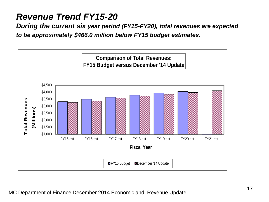#### *Revenue Trend FY15-20*

*During the current six year period (FY15-FY20), total revenues are expected to be approximately \$466.0 million below FY15 budget estimates.*

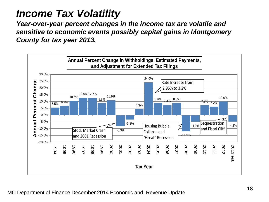## *Income Tax Volatility*

*Year-over-year percent changes in the income tax are volatile and sensitive to economic events possibly capital gains in Montgomery County for tax year 2013.*

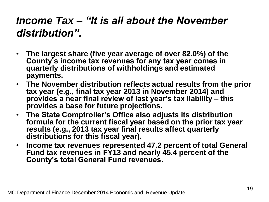# *Income Tax – "It is all about the November distribution".*

- **The largest share (five year average of over 82.0%) of the County's income tax revenues for any tax year comes in quarterly distributions of withholdings and estimated payments.**
- **The November distribution reflects actual results from the prior tax year (e.g., final tax year 2013 in November 2014) and provides a near final review of last year's tax liability – this provides a base for future projections.**
- **The State Comptroller's Office also adjusts its distribution formula for the current fiscal year based on the prior tax year results (e.g., 2013 tax year final results affect quarterly distributions for this fiscal year).**
- **Income tax revenues represented 47.2 percent of total General Fund tax revenues in FY13 and nearly 45.4 percent of the County's total General Fund revenues.**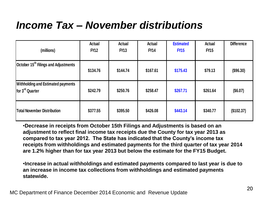## *Income Tax – November distributions*

| (millions)                                                                                                                                                                                                                                                                                                                                                                                                                                                                                                                             | Actual<br><b>FY12</b> | Actual<br><b>FY13</b> | Actual<br><b>FY14</b> | <b>Estimated</b><br><b>FY15</b> | Actual<br><b>FY15</b> | <b>Difference</b> |  |
|----------------------------------------------------------------------------------------------------------------------------------------------------------------------------------------------------------------------------------------------------------------------------------------------------------------------------------------------------------------------------------------------------------------------------------------------------------------------------------------------------------------------------------------|-----------------------|-----------------------|-----------------------|---------------------------------|-----------------------|-------------------|--|
| October 15 <sup>th</sup> Filings and Adjustments                                                                                                                                                                                                                                                                                                                                                                                                                                                                                       | \$134.76              | \$144.74              | \$167.61              | \$175.43                        | \$79.13               | (\$96.30)         |  |
| <b>Withholding and Estimated payments</b><br>for 3 <sup>rd</sup> Quarter                                                                                                                                                                                                                                                                                                                                                                                                                                                               | \$242.79              | \$250.76              | \$258.47              | \$267.71                        | \$261.64              | (\$6.07)          |  |
| <b>Total November Distribution</b>                                                                                                                                                                                                                                                                                                                                                                                                                                                                                                     | \$377.55              | \$395.50              | \$426.08              | \$443.14                        | \$340.77              | (\$102.37)        |  |
| •Decrease in receipts from October 15th Filings and Adjustments is based on an<br>adjustment to reflect final income tax receipts due the County for tax year 2013 as<br>compared to tax year 2012. The State has indicated that the County's income tax<br>receipts from withholdings and estimated payments for the third quarter of tax year 2014<br>are 1.2% higher than for tax year 2013 but below the estimate for the FY15 Budget.<br>. Increase in actual withholdings and estimated payments compared to last year is due to |                       |                       |                       |                                 |                       |                   |  |
| an increase in income tax collections from withholdings and estimated payments<br>statewide.                                                                                                                                                                                                                                                                                                                                                                                                                                           |                       |                       |                       |                                 |                       |                   |  |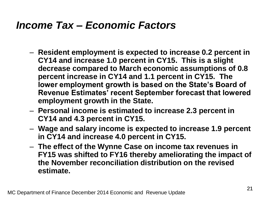### *Income Tax – Economic Factors*

- **Resident employment is expected to increase 0.2 percent in CY14 and increase 1.0 percent in CY15. This is a slight decrease compared to March economic assumptions of 0.8 percent increase in CY14 and 1.1 percent in CY15. The lower employment growth is based on the State's Board of Revenue Estimates' recent September forecast that lowered employment growth in the State.**
- **Personal income is estimated to increase 2.3 percent in CY14 and 4.3 percent in CY15.**
- **Wage and salary income is expected to increase 1.9 percent in CY14 and increase 4.0 percent in CY15.**
- **The effect of the Wynne Case on income tax revenues in FY15 was shifted to FY16 thereby ameliorating the impact of the November reconciliation distribution on the revised estimate.**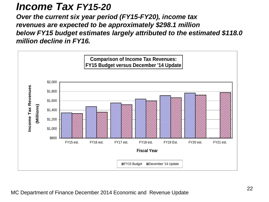#### *Income Tax FY15-20*

*Over the current six year period (FY15-FY20), income tax revenues are expected to be approximately \$298.1 million below FY15 budget estimates largely attributed to the estimated \$118.0 million decline in FY16.* 

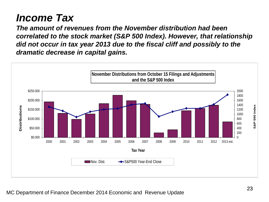## *Income Tax*

*The amount of revenues from the November distribution had been correlated to the stock market (S&P 500 Index). However, that relationship did not occur in tax year 2013 due to the fiscal cliff and possibly to the dramatic decrease in capital gains.*

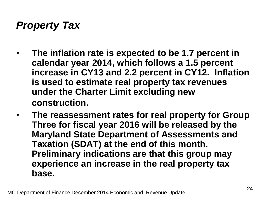## *Property Tax*

- **The inflation rate is expected to be 1.7 percent in calendar year 2014, which follows a 1.5 percent increase in CY13 and 2.2 percent in CY12. Inflation is used to estimate real property tax revenues under the Charter Limit excluding new construction.**
- **The reassessment rates for real property for Group Three for fiscal year 2016 will be released by the Maryland State Department of Assessments and Taxation (SDAT) at the end of this month. Preliminary indications are that this group may experience an increase in the real property tax base.**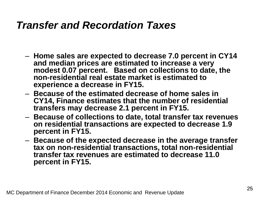#### *Transfer and Recordation Taxes*

- **Home sales are expected to decrease 7.0 percent in CY14 and median prices are estimated to increase a very modest 0.07 percent. Based on collections to date, the non-residential real estate market is estimated to experience a decrease in FY15.**
- **Because of the estimated decrease of home sales in CY14, Finance estimates that the number of residential transfers may decrease 2.1 percent in FY15.**
- **Because of collections to date, total transfer tax revenues on residential transactions are expected to decrease 1.9 percent in FY15.**
- **Because of the expected decrease in the average transfer tax on non-residential transactions, total non-residential transfer tax revenues are estimated to decrease 11.0 percent in FY15.**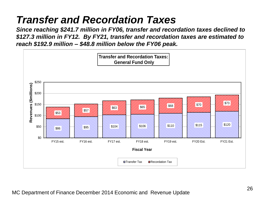## *Transfer and Recordation Taxes*

*Since reaching \$241.7 million in FY06, transfer and recordation taxes declined to \$127.3 million in FY12. By FY21, transfer and recordation taxes are estimated to reach \$192.9 million – \$48.8 million below the FY06 peak.*